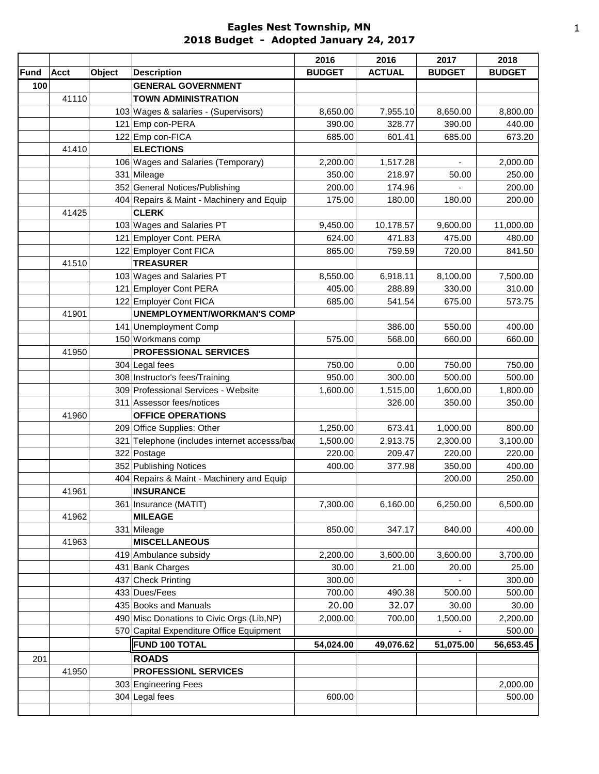## **Eagles Nest Township, MN 2018 Budget - Adopted January 24, 2017**

|      |             |        |                                              | 2016          | 2016          | 2017          | 2018          |
|------|-------------|--------|----------------------------------------------|---------------|---------------|---------------|---------------|
| Fund | <b>Acct</b> | Object | <b>Description</b>                           | <b>BUDGET</b> | <b>ACTUAL</b> | <b>BUDGET</b> | <b>BUDGET</b> |
| 100  |             |        | <b>GENERAL GOVERNMENT</b>                    |               |               |               |               |
|      | 41110       |        | <b>TOWN ADMINISTRATION</b>                   |               |               |               |               |
|      |             |        | 103 Wages & salaries - (Supervisors)         | 8,650.00      | 7,955.10      | 8,650.00      | 8,800.00      |
|      |             |        | 121 Emp con-PERA                             | 390.00        | 328.77        | 390.00        | 440.00        |
|      |             |        | 122 Emp con-FICA                             | 685.00        | 601.41        | 685.00        | 673.20        |
|      | 41410       |        | <b>ELECTIONS</b>                             |               |               |               |               |
|      |             |        | 106 Wages and Salaries (Temporary)           | 2,200.00      | 1,517.28      |               | 2,000.00      |
|      |             |        | 331 Mileage                                  | 350.00        | 218.97        | 50.00         | 250.00        |
|      |             |        | 352 General Notices/Publishing               | 200.00        | 174.96        |               | 200.00        |
|      |             |        | 404 Repairs & Maint - Machinery and Equip    | 175.00        | 180.00        | 180.00        | 200.00        |
|      | 41425       |        | <b>CLERK</b>                                 |               |               |               |               |
|      |             |        | 103 Wages and Salaries PT                    | 9,450.00      | 10,178.57     | 9,600.00      | 11,000.00     |
|      |             |        | 121 Employer Cont. PERA                      | 624.00        | 471.83        | 475.00        | 480.00        |
|      |             |        | 122 Employer Cont FICA                       | 865.00        | 759.59        | 720.00        | 841.50        |
|      | 41510       |        | <b>TREASURER</b>                             |               |               |               |               |
|      |             |        | 103 Wages and Salaries PT                    | 8,550.00      | 6,918.11      | 8,100.00      | 7,500.00      |
|      |             |        | 121 Employer Cont PERA                       | 405.00        | 288.89        | 330.00        | 310.00        |
|      |             |        | 122 Employer Cont FICA                       | 685.00        | 541.54        | 675.00        | 573.75        |
|      | 41901       |        | <b>UNEMPLOYMENT/WORKMAN'S COMP</b>           |               |               |               |               |
|      |             |        | 141 Unemployment Comp                        |               | 386.00        | 550.00        | 400.00        |
|      |             |        | 150 Workmans comp                            | 575.00        | 568.00        | 660.00        | 660.00        |
|      | 41950       |        | PROFESSIONAL SERVICES                        |               |               |               |               |
|      |             |        | 304 Legal fees                               | 750.00        | 0.00          | 750.00        | 750.00        |
|      |             |        | 308 Instructor's fees/Training               | 950.00        | 300.00        | 500.00        | 500.00        |
|      |             |        | 309 Professional Services - Website          | 1,600.00      | 1,515.00      | 1,600.00      | 1,800.00      |
|      |             |        | 311 Assessor fees/notices                    |               | 326.00        | 350.00        | 350.00        |
|      | 41960       |        | <b>OFFICE OPERATIONS</b>                     |               |               |               |               |
|      |             |        | 209 Office Supplies: Other                   | 1,250.00      | 673.41        | 1,000.00      | 800.00        |
|      |             |        | 321 Telephone (includes internet accesss/bad | 1,500.00      | 2,913.75      | 2,300.00      | 3,100.00      |
|      |             |        | 322 Postage                                  | 220.00        | 209.47        | 220.00        | 220.00        |
|      |             |        | 352 Publishing Notices                       | 400.00        | 377.98        | 350.00        | 400.00        |
|      |             |        | 404 Repairs & Maint - Machinery and Equip    |               |               | 200.00        | 250.00        |
|      | 41961       |        | <b>INSURANCE</b>                             |               |               |               |               |
|      |             |        | 361   Insurance (MATIT)                      | 7,300.00      | 6,160.00      | 6,250.00      | 6,500.00      |
|      | 41962       |        | <b>MILEAGE</b>                               |               |               |               |               |
|      |             |        | 331 Mileage                                  | 850.00        | 347.17        | 840.00        | 400.00        |
|      | 41963       |        | <b>MISCELLANEOUS</b>                         |               |               |               |               |
|      |             |        | 419 Ambulance subsidy                        | 2,200.00      | 3,600.00      | 3,600.00      | 3,700.00      |
|      |             |        | 431 Bank Charges                             | 30.00         | 21.00         | 20.00         | 25.00         |
|      |             |        | 437 Check Printing                           | 300.00        |               |               | 300.00        |
|      |             |        | 433 Dues/Fees                                | 700.00        | 490.38        | 500.00        | 500.00        |
|      |             |        | 435 Books and Manuals                        | 20.00         | 32.07         | 30.00         | 30.00         |
|      |             |        | 490 Misc Donations to Civic Orgs (Lib, NP)   | 2,000.00      | 700.00        | 1,500.00      | 2,200.00      |
|      |             |        | 570 Capital Expenditure Office Equipment     |               |               |               | 500.00        |
|      |             |        | <b>FUND 100 TOTAL</b>                        | 54,024.00     | 49,076.62     | 51,075.00     | 56,653.45     |
| 201  |             |        | <b>ROADS</b>                                 |               |               |               |               |
|      | 41950       |        | <b>PROFESSIONL SERVICES</b>                  |               |               |               |               |
|      |             |        | 303 Engineering Fees                         |               |               |               | 2,000.00      |
|      |             |        | 304 Legal fees                               | 600.00        |               |               | 500.00        |
|      |             |        |                                              |               |               |               |               |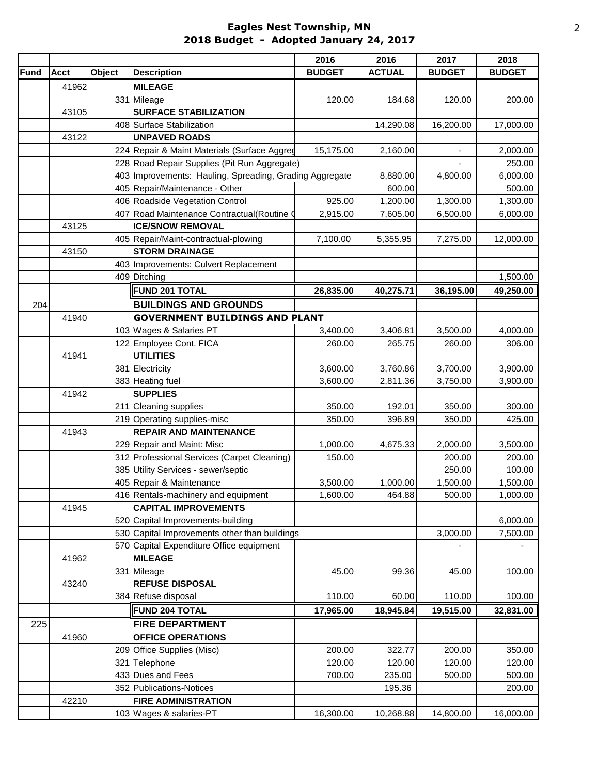## **Eagles Nest Township, MN 2018 Budget - Adopted January 24, 2017**

|             |             |        |                                                         | 2016          | 2016          | 2017          | 2018           |
|-------------|-------------|--------|---------------------------------------------------------|---------------|---------------|---------------|----------------|
| <b>Fund</b> | <b>Acct</b> | Object | <b>Description</b>                                      | <b>BUDGET</b> | <b>ACTUAL</b> | <b>BUDGET</b> | <b>BUDGET</b>  |
|             | 41962       |        | <b>MILEAGE</b>                                          |               |               |               |                |
|             |             |        | 331 Mileage                                             | 120.00        | 184.68        | 120.00        | 200.00         |
|             | 43105       |        | <b>SURFACE STABILIZATION</b>                            |               |               |               |                |
|             |             |        | 408 Surface Stabilization                               |               | 14,290.08     | 16,200.00     | 17,000.00      |
|             | 43122       |        | <b>UNPAVED ROADS</b>                                    |               |               |               |                |
|             |             |        | 224 Repair & Maint Materials (Surface Aggred            | 15,175.00     | 2,160.00      |               | 2,000.00       |
|             |             |        | 228 Road Repair Supplies (Pit Run Aggregate)            |               |               |               | 250.00         |
|             |             |        | 403 Improvements: Hauling, Spreading, Grading Aggregate |               | 8,880.00      | 4,800.00      | 6,000.00       |
|             |             |        | 405 Repair/Maintenance - Other                          |               | 600.00        |               | 500.00         |
|             |             |        | 406 Roadside Vegetation Control                         | 925.00        | 1,200.00      | 1,300.00      | 1,300.00       |
|             |             |        | 407 Road Maintenance Contractual (Routine 0             | 2,915.00      | 7,605.00      | 6,500.00      | 6,000.00       |
|             | 43125       |        | <b>ICE/SNOW REMOVAL</b>                                 |               |               |               |                |
|             |             |        | 405 Repair/Maint-contractual-plowing                    | 7,100.00      | 5,355.95      | 7,275.00      | 12,000.00      |
|             | 43150       |        | <b>STORM DRAINAGE</b>                                   |               |               |               |                |
|             |             |        | 403 Improvements: Culvert Replacement                   |               |               |               |                |
|             |             |        | 409 Ditching                                            |               |               |               | 1,500.00       |
|             |             |        | <b>FUND 201 TOTAL</b>                                   | 26,835.00     | 40,275.71     | 36,195.00     | 49,250.00      |
| 204         |             |        | <b>BUILDINGS AND GROUNDS</b>                            |               |               |               |                |
|             | 41940       |        | <b>GOVERNMENT BUILDINGS AND PLANT</b>                   |               |               |               |                |
|             |             |        | 103 Wages & Salaries PT                                 | 3,400.00      | 3,406.81      | 3,500.00      | 4,000.00       |
|             |             |        | 122 Employee Cont. FICA                                 | 260.00        | 265.75        | 260.00        | 306.00         |
|             | 41941       |        | <b>UTILITIES</b>                                        |               |               |               |                |
|             |             |        | 381 Electricity                                         | 3,600.00      | 3,760.86      | 3,700.00      | 3,900.00       |
|             |             |        | 383 Heating fuel                                        | 3,600.00      | 2,811.36      | 3,750.00      | 3,900.00       |
|             | 41942       |        | <b>SUPPLIES</b>                                         |               |               |               |                |
|             |             |        | 211 Cleaning supplies                                   | 350.00        | 192.01        | 350.00        | 300.00         |
|             |             |        | 219 Operating supplies-misc                             | 350.00        | 396.89        | 350.00        | 425.00         |
|             | 41943       |        | <b>REPAIR AND MAINTENANCE</b>                           |               |               |               |                |
|             |             |        | 229 Repair and Maint: Misc                              | 1,000.00      | 4,675.33      | 2,000.00      | 3,500.00       |
|             |             |        | 312 Professional Services (Carpet Cleaning)             | 150.00        |               | 200.00        | 200.00         |
|             |             |        | 385 Utility Services - sewer/septic                     |               |               | 250.00        | 100.00         |
|             |             |        | 405 Repair & Maintenance                                | 3,500.00      | 1,000.00      | 1,500.00      | 1,500.00       |
|             |             |        | 416 Rentals-machinery and equipment                     | 1,600.00      | 464.88        | 500.00        | 1,000.00       |
|             | 41945       |        | <b>CAPITAL IMPROVEMENTS</b>                             |               |               |               |                |
|             |             |        | 520 Capital Improvements-building                       |               |               |               | 6,000.00       |
|             |             |        | 530 Capital Improvements other than buildings           |               |               | 3,000.00      | 7,500.00       |
|             |             |        | 570 Capital Expenditure Office equipment                |               |               |               | $\blacksquare$ |
|             | 41962       |        | <b>MILEAGE</b>                                          |               |               |               |                |
|             |             |        | 331 Mileage                                             | 45.00         | 99.36         | 45.00         | 100.00         |
|             | 43240       |        | <b>REFUSE DISPOSAL</b>                                  |               |               |               |                |
|             |             |        | 384 Refuse disposal                                     | 110.00        | 60.00         | 110.00        | 100.00         |
|             |             |        | <b>FUND 204 TOTAL</b>                                   | 17,965.00     | 18,945.84     | 19,515.00     | 32,831.00      |
| 225         |             |        | <b>FIRE DEPARTMENT</b>                                  |               |               |               |                |
|             | 41960       |        | <b>OFFICE OPERATIONS</b>                                |               |               |               |                |
|             |             |        | 209 Office Supplies (Misc)                              | 200.00        | 322.77        | 200.00        | 350.00         |
|             |             |        | 321 Telephone                                           | 120.00        | 120.00        | 120.00        | 120.00         |
|             |             |        | 433 Dues and Fees                                       | 700.00        | 235.00        | 500.00        | 500.00         |
|             |             |        | 352 Publications-Notices                                |               | 195.36        |               | 200.00         |
|             | 42210       |        | <b>FIRE ADMINISTRATION</b>                              |               |               |               |                |
|             |             |        | 103 Wages & salaries-PT                                 | 16,300.00     | 10,268.88     | 14,800.00     | 16,000.00      |